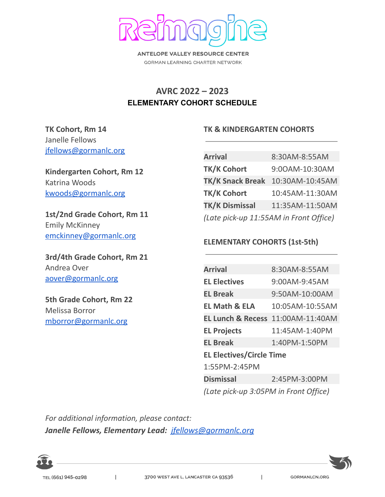

**ANTELOPE VALLEY RESOURCE CENTER** GORMAN LEARNING CHARTER NETWORK

## **AVRC 2022 – 2023 ELEMENTARY COHORT SCHEDULE**

### **TK Cohort, Rm 14** Janelle Fellows [jfellows@gormanlc.org](mailto:jfellows@gormanlc.org)

**Kindergarten Cohort, Rm 12** Katrina Woods [kwoods@gormanlc.org](mailto:kwoods@gormanlc.org)

**1st/2nd Grade Cohort, Rm 11** Emily McKinney [emckinney@gormanlc.org](mailto:emckinney@gormanlc.org)

**3rd/4th Grade Cohort, Rm 21** Andrea Over [aover@gormanlc.org](mailto:aover@gormanlc.org)

**5th Grade Cohort, Rm 22** Melissa Borror [mborror@gormanlc.org](mailto:mborror@gormanlc.org)

#### **TK & KINDERGARTEN COHORTS**

| <b>Arrival</b>                         | 8:30AM-8:55AM   |  |
|----------------------------------------|-----------------|--|
| <b>TK/K Cohort</b>                     | 9:00AM-10:30AM  |  |
| <b>TK/K Snack Break</b>                | 10:30AM-10:45AM |  |
| <b>TK/K Cohort</b>                     | 10:45AM-11:30AM |  |
| <b>TK/K Dismissal</b>                  | 11:35AM-11:50AM |  |
| (Late pick-up 11:55AM in Front Office) |                 |  |

#### **ELEMENTARY COHORTS (1st-5th)**

| <b>Arrival</b>                        | 8:30AM-8:55AM                                |  |
|---------------------------------------|----------------------------------------------|--|
| <b>EL Electives</b>                   | 9:00AM-9:45AM                                |  |
| <b>EL Break</b>                       | 9:50AM-10:00AM                               |  |
| <b>EL Math &amp; ELA</b>              | 10:05AM-10:55AM                              |  |
|                                       | <b>EL Lunch &amp; Recess 11:00AM-11:40AM</b> |  |
| <b>EL Projects</b>                    | 11:45AM-1:40PM                               |  |
| <b>EL Break</b>                       | 1:40PM-1:50PM                                |  |
| <b>EL Electives/Circle Time</b>       |                                              |  |
| 1:55PM-2:45PM                         |                                              |  |
| <b>Dismissal</b>                      | 2:45PM-3:00PM                                |  |
| (Late pick-up 3:05PM in Front Office) |                                              |  |

 $\mathsf{I}$ 

*For additional information, please contact: Janelle Fellows, Elementary Lead: [jfellows@gormanlc.org](mailto:jfellows@gormanlc.org)*

 $\overline{1}$ 

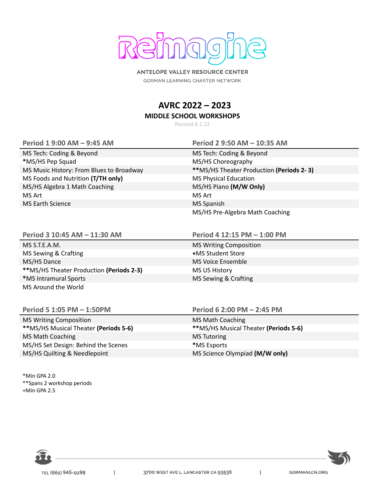

**ANTELOPE VALLEY RESOURCE CENTER** GORMAN LEARNING CHARTER NETWORK

# **AVRC 2022 – 2023**

**MIDDLE SCHOOL WORKSHOPS**

Revised 6.1.22

MS Tech: Coding & Beyond MS Tech: Coding & Beyond \*MS/HS Pep Squad **MS/HS** Choreography MS Foods and Nutrition **(T/TH only)** MS Physical Education MS/HS Algebra 1 Math Coaching MS/HS Piano **(M/W Only)** MS Art MS Art MS Art MS Art MS Art MS Art MS Art MS Art MS Art MS Art MS Art MS Art MS Art MS Art MS Art MS Art MS Art MS Art MS Art MS Art MS Art MS Art MS Art MS Art MS Art MS Art MS Art MS Art MS Art MS Art MS Art MS Ar MS Earth Science MS Spanish

MS S.T.E.A.M. MS Writing Composition MS Sewing & Crafting **+**MS Student Store MS/HS Dance **MS Voice Ensemble \*\***MS/HS Theater Production **(Periods 2-3)** MS US History \*MS Intramural Sports **MS Sewing & Crafting** MS Sewing & Crafting

MS Around the World

MS Writing Composition MS Math Coaching MS Math Coaching MS Math Coaching MS Tutoring MS Tutoring MS/HS Set Design: Behind the Scenes **\***MS Esports

\*Min GPA 2.0 \*\*Spans 2 workshop periods +Min GPA 2.5

**Period 1 9:00 AM – 9:45 AM Period 2 9:50 AM – 10:35 AM**

MS Music History: From Blues to Broadway **\*\***MS/HS Theater Production **(Periods 2- 3)** MS/HS Pre-Algebra Math Coaching

**Period 3 10:45 AM – 11:30 AM Period 4 12:15 PM – 1:00 PM**

**Period 5 1:05 PM – 1:50PM Period 6 2:00 PM – 2:45 PM**

**\*\***MS/HS Musical Theater **(Periods 5-6) \*\***MS/HS Musical Theater **(Periods 5-6)** MS/HS Quilting & Needlepoint MS Science Olympiad **(M/W only)**



 $\overline{\phantom{a}}$